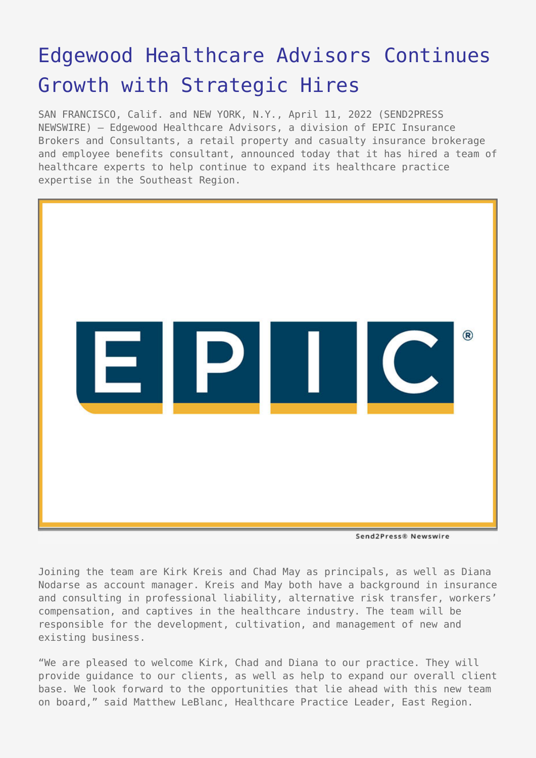# [Edgewood Healthcare Advisors Continues](https://www.send2press.com/wire/edgewood-healthcare-advisors-continues-growth-with-strategic-hires/) [Growth with Strategic Hires](https://www.send2press.com/wire/edgewood-healthcare-advisors-continues-growth-with-strategic-hires/)

SAN FRANCISCO, Calif. and NEW YORK, N.Y., April 11, 2022 (SEND2PRESS NEWSWIRE) — Edgewood Healthcare Advisors, a division of EPIC Insurance Brokers and Consultants, a retail property and casualty insurance brokerage and employee benefits consultant, announced today that it has hired a team of healthcare experts to help continue to expand its healthcare practice expertise in the Southeast Region.



Send2Press® Newswire

Joining the team are Kirk Kreis and Chad May as principals, as well as Diana Nodarse as account manager. Kreis and May both have a background in insurance and consulting in professional liability, alternative risk transfer, workers' compensation, and captives in the healthcare industry. The team will be responsible for the development, cultivation, and management of new and existing business.

"We are pleased to welcome Kirk, Chad and Diana to our practice. They will provide guidance to our clients, as well as help to expand our overall client base. We look forward to the opportunities that lie ahead with this new team on board," said Matthew LeBlanc, Healthcare Practice Leader, East Region.